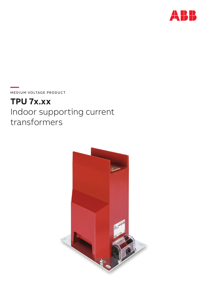

**—**  MEDIUM VOLTAGE PRODUCT

# **TPU 7x.xx** Indoor supporting current transformers

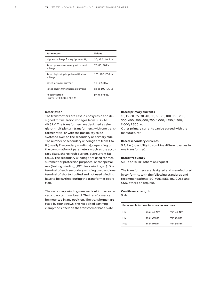| <b>Parameters</b>                            | <b>Values</b>              |
|----------------------------------------------|----------------------------|
| Highest voltage for equipment, $U_{\alpha}$  | 36; 38.5; 40.5 kV          |
| Rated power-frequency withstand<br>voltage   | 70: 80; 90 kV              |
| Rated lightning impulse withstand<br>voltage | 170; 180; 200 kV           |
| Rated primary current                        | $10 - 2500$ A              |
| Rated short-time thermal current             | up to $100 \text{ kA}/1$ s |
| Reconnectible<br>(primary till 600-1 200 A)  | prim. or sec.              |

#### **Description**

The transformers are cast in epoxy resin and designed for insulation voltages from 36 kV to 40.5 kV. The transformers are designed as single-or-multiple turn transformers, with one transformer ratio, or with the possibility to be switched over on the secondary or primary side. The number of secondary windings are from 1 to 8 (usually 2 secondary windings), depending on the combination of parameters (such as the accuracy class, shortcircuit current, overcurrent factor…). The secondary windings are used for measurement or protection purposes, or for special use (testing winding, "PX" class windings ..). One terminal of each secondary winding used and one terminal of short-circuited and not used winding have to be earthed during the transformer operation.

The secondary windings are lead out into a casted secondary terminal board. The transformer can be mounted in any position. The transformer are fixed by four screws, the M8 bolted earthing clamp finds itself on the transformer base plate.

#### **Rated primary currents**

10; 15; 20; 25; 30; 40; 50; 60; 75; 100; 150; 200; 300; 400; 500; 600; 750; 1 000; 1 250; 1 500; 2 000; 2 500; A. Other primary currents can be agreed with the manufacturer.

#### **Rated secondary currents**

5 A; 1 A (possibility to combine different values in one transformer).

#### **Rated frequency**

50 Hz or 60 Hz, others on request

The transformers are designed and manufactured in conformity with the following standards and recommendations: IEC, VDE, IEEE, BS, GOST and CSN, others on request.

#### **Cantilever strength**

5 kN

| Permissable torques for screw connections |            |            |
|-------------------------------------------|------------|------------|
| M5                                        | max 3.5 Nm | min 2.8 Nm |
| M <sub>8</sub>                            | max 20 Nm  | min 16 Nm  |
| M12                                       | max 70 Nm  | min 56 Nm  |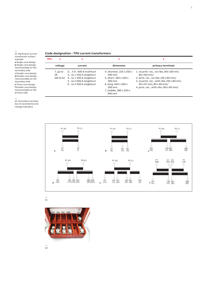#### **Code designation - TPU current transformers**

transformer outlets **a** Single-core design **b** Single-core design, reconnectable on the secondary side **c** Double-core design **d** Double-core design, reconnectable on the **e** Three-core design<br>**f** Double-core design, reconnectable on the **TPU x x . x x voltage current dimension primary terminals** 7..up to 36 (40.5) kV 0… 5 A - 600 A multiturn 3…to 1 250 A singleturn 4…to 1 500 A singleturn 5…to 2 000 A singleturn 6…to 2 500 A singleturn 4..shortest, 335 x 250 x 390 mm 5..short, 365 x 220 x 390 mm 6..long, 446 x 260 x 390 mm 7..middle, 380 x 250 x 390 mm 1..no prim. rec., no ribs /40 x 80 mm; 80 x 80 mm/ 2..prim. rec., no ribs /40 x 80 mm/ 3..no prim. rec., with ribs /40 x 80 mm; 60 x 67 mm; 80 x 80 mm/ 4..prim. rec., with ribs /40 x 80 mm/



— 01 Marking of current

example

secondary side

primary side



—<br>01

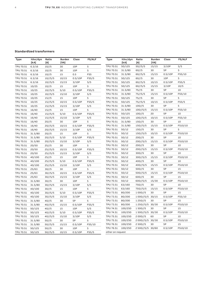#### **Standardized transformers**

| <b>Type</b> | Ithn/dyn<br>[kA] | Ratio<br>[A] | <b>Burden</b><br>[VA] | Class   | <b>FS/ALF</b> | Type             | Ithn/dyn<br>[kA] | Ratio<br>[A]     | <b>Burden</b><br>[VA] | Class   | <b>FS/ALF</b> |
|-------------|------------------|--------------|-----------------------|---------|---------------|------------------|------------------|------------------|-----------------------|---------|---------------|
| TPU 70.51   | 6.3/16           | 10//5        | 30                    | 10P     | 5             | TPU 70.51        | 50/125           | 50//5/5          | 15/15                 | 3/10P   | 5/5           |
| TPU 70.51   | 6.3/16           | 10//5        | 30                    | 10P     | 5             | TPU 70.51        | 31.5/80          | 60//5            | 30                    | 5P      | 5             |
| TPU 70.51   | 6.3/16           | 10//5        | 15                    | 0.5     | FS5           | TPU 70.51        | 31.5/80          | 60//5/5          | 15/15                 | 0.5/10P | FS5/10        |
| TPU 70.51   | 6.3/16           | 10//5/5      | 10/15                 | 0.5/10P | FS5/5         | TPU 70.51        | 50/125           | 60//5            | 30                    | 10P     | 5             |
| TPU 70.51   | 6.3/16           | 10//5/5      | 15/15                 | 3/10P   | 5/5           | TPU 70.51        | 50/125           | 60//5/5          | 10/15                 | 0.5/10P | FS5/5         |
| TPU 70.51   | 10/25            | 10//5        | 15                    | 10P     | 5             | TPU 70.51        | 50/125           | 60//5/5          | 15/15                 | 3/10P   | 10/5          |
| TPU 70.51   | 10/25            | 10//5/5      | 5/10                  | 0.5/10P | FS5/5         | TPU 70.51        | 31.5/80          | 75/ / 5          | 30                    | 5P      | 10            |
| TPU 70.51   | 10/25            | 10//5/5      | 15/10                 | 3/10P   | 5/5           | TPU 70.51        | 31.5/80          | 75//5/5          | 15/15                 | 0.5/10P | FS5/10        |
| TPU 70.51   | 10/25            | 15//5        | 15                    | 10P     | 5             | TPU 70.51        | 50/125           | 75/ / 5          | 30                    | 5P      | 5             |
| TPU 70.51   | 10/25            | 15//5/5      | 10/15                 | 0.5/10P | FS5/5         | TPU 70.51        | 50/125           | 75//5/5          | 10/15                 | 0.5/10P | FS5/5         |
| TPU 70.51   | 10/25            | 15//5/5      | 15/15                 | 3/10P   | 5/5           | TPU 70.51        | 31.5/80          | 100//5           | 30                    | 5P      | 5             |
| TPU 70.51   | 16/40            | 15//5        | 15                    | 10P     | 5             | TPU 70.51        | 31.5/80          | 100//5/5         | 15/15                 | 0.5/10P | FS5/10        |
| TPU 70.51   | 16/40            | 15//5/5      | 5/10                  | 0.5/10P | FS5/5         | TPU 70.51        | 50/125           | 100//5           | 20                    | 5P      | 10            |
| TPU 70.51   | 16/40            | 15//5/5      | 15/10                 | 3/10P   | 5/5           | TPU 70.51        | 50/125           | 100//5/5         | 10/15                 | 0.5/10P | FS5/10        |
| TPU 70.51   | 16/40            | 20/5         | 30                    | 10P     | 5             | TPU 70.51        | 31.5/80          | 150/5            | 30                    | 5P      | 10            |
| TPU 70.51   | 16/40            | 20//5/5      | 10/15                 | 0.5/10P | FS5/5         | TPU 70.51        | 31.5/80          | 150//5/5         | 15/15                 | 0.5/10P | FS10/10       |
| TPU 70.51   | 16/40            | 20//5/5      | 15/15                 | 3/10P   | 5/5           | TPU 70.51        | 50/12            | 150/5            | 30                    | 5P      | 5             |
| TPU 70.51   | 31.5/80          | 20/5         | 15                    | 10P     | 5             | TPU 70.51        | 50/12            | 150//5/5         | 10/15                 | 0.5/10P | FS10/10       |
| TPU 70.51   | 31.5/80          | 20//5/5      | 5/10                  | 0.5/10P | FS5/5         | TPU 70.51        | 50/12            | 200//5           | 30                    | 5P      | 10            |
| TPU 70.51   | 31.5/80          | 20//5/5      | 15/10                 | 3/10P   | 5/5           | TPU 70.51        | 50/12            | 200//5/5         | 15/15                 | 0.5/10P | FS10/10       |
| TPU 70.51   | 20/50            | 25//5        | 30                    | 10P     | 5             | TPU 70.51        | 50/12            | 200//5           | 30                    | 5P      | 10            |
| TPU 70.51   | 20/50            | 25//5/5      | 10/15                 | 0.5/10P | FS5/5         | TPU 70.51        | 50/12            | 200//5/5         | 15/15                 | 0.5/10P | FS10/10       |
| TPU 70.51   | 20/50            | 25//5/5      | 15/15                 | 3/10P   | 5/5           | TPU 70.51        | 50/12            | 300//5           | 30                    | 5P      | 10            |
| TPU 70.51   | 40/100           | 25//5        | 15                    | 10P     | 5             | TPU 70.51        | 50/12            | 300//5/5         | 15/15                 | 0.5/10P | FS10/10       |
| TPU 70.51   | 40/100           | 25//5/5      | 5/10                  | 0.5/10P | FS5/5         | TPU 70.51        | 50/12            | 400/5            | 30                    | 5P      | 10            |
| TPU 70.51   | 40/100           | 25//5/5      | 15/10                 | 3/10P   | 5/5           | TPU 70.51        | 50/12            | 400//5/5         | 15/15                 | 0.5/10P | FS10/10       |
| TPU 70.51   | 25/63            | 30/5         | 30                    | 10P     | 5             | TPU 70.51        | 50/12            | 500/5            | 30                    | 5P      | 15            |
| TPU 70.51   | 25/63            | 30//5/5      | 10/15                 | 0.5/10P | FS5/5         | TPU 70.51        | 50/12            | 500//5/5         | 15/15                 | 0.5/10P | FS10/10       |
| TPU 70.51   | 25/63            | 30//5/5      | 15/15                 | 3/10P   | 5/5           | TPU 70.51        | 50/12            | 600//5           | 30                    | 5P      | 15            |
| TPU 70.51   | 31.5/80          | 30/5         | 30                    | 10P     | 5             | TPU 70.51        | 50/12            | 600//5/5         | 15/30                 | 0.5/10P | FS10/10       |
| TPU 70.51   | 31.5/80          | 30//5/5      | 15/15                 | 3/10P   | 5/5           | TPU 73.51        | 63/160           | 750//5           | 30                    | 5P      | 10            |
| TPU 70.51   | 40/100           | 30/5         | 15                    | 10P     | 5             | TPU 73.51        | 63/160           | 750//5/5         | 15/15                 | 0.5/10P | FS10/10       |
| TPU 70.51   | 40/100           | 30//5/5      | 5/10                  | 0.5/10P | FS5/5         | TPU 73.51        | 80/200           | 1 000//5         | 30                    | 5P      | 15            |
| TPU 70.51   | 40/100           | 30//5/5      | 15/10                 | 3/10P   | 5/5           | TPU 73.51        | 80/200           | 1 000//5/5 30/15 |                       | 0.5/10P | FS5/10        |
| TPU 70.51   | 31.5/80          | $40/$ /5     | 30                    | 5P      | 5             | TPU 73.51        | 80/200           | 1250/5           | 30                    | 5P      | 15            |
| TPU 70.51   | 31.5/80          | 40//5/5      | 15/15                 | 0.5/10P | FS5/5         | TPU 73.51        | 80/200           | 1 250//5/5 30/30 |                       | 0.5/10P | FS10/10       |
| TPU 70.51   | 50/125           | 40/15        | 15                    | 10P     | 5/5           | TPU 74.51        | 100/250          | 1500//5          | 30                    | 5P      | 15            |
| TPU 70.51   | 50/125           | 40//5/5      | 5/10                  | 0.5/10P | FS5/5         | TPU 74.51        | 100/250          | 1 500//5/5 30/30 |                       | 0.5/10P | FS10/10       |
| TPU 70.51   | 50/125           | 40//5/5      | 15/10                 | 3/10P   | 5/5           | TPU 75.51        | 100/250          | 2000//5          | 60                    | 5P      | 10            |
| TPU 70.51   | 31.5/80          | 50/5         | 30                    | 5P      | 5             | TPU 75.51        | 100/250          | 2 000//5/5 30/30 |                       | 0.5/10P | FS10/10       |
| TPU 70.51   | 31.5/80          | 50//5/5      | 15/15                 | 0.5/10P | FS5/10        | TPU 76.51        | 100/250          | 2500//5          | 30                    | 5P      | 15            |
| TPU 70.51   | 50/125           | 50/5         | 30                    | 10P     | 5             | TPU 76.51        | 100/250          | 2 500//5/5 30/60 |                       | 0.5/10P | FS10/10       |
| TPU 70.51   | 50/125           | 50//5/5      | 10/15                 | 0.5/10P | FS5/5         | other on request |                  |                  |                       |         |               |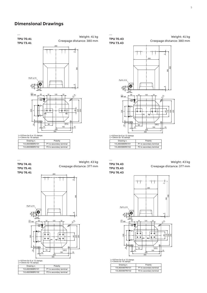## **Dimensional Drawings**

TPU 70.41 **TPU 70.41** TPU 73.41 **TPU 73.41** —

Weight: 41 kg Creepage distance: 380 mm

260

#### L=107mm for 6 or 12 clamps L=134mm for 16 clamps

| Drawing n.      | Polarity                 |
|-----------------|--------------------------|
| 1VL4600986R0101 | P1 to secondary terminal |
| 1VL4600986R0102 | P2 to secondary terminal |

| <b>TPU 74.41</b> |
|------------------|
| <b>TPU 75.41</b> |
| <b>TPU 76.41</b> |

—

Weight: 43 kg Creepage distance: 377 mm



#### L=107mm for 6 or 12 clamps L=134mm for 16 clamps

| Drawing n.      | Polarity                 |
|-----------------|--------------------------|
| 1VL4600988R0101 | P1 to secondary terminal |
| 1VL4600988R0102 | P2 to secondary terminal |

TPU 70.43 **TPU 70.43** TPU 73.43 **TPU 73.43** —





L=107mm for 6 or 12 clamps L=134mm for 16 clamps

| Drawing n.      | Polarity                 |
|-----------------|--------------------------|
| 1VL4600985R0101 | P1 to secondary terminal |
| 1VL4600985R0102 | P2 to secondary terminal |

| <b>TPU 74.43</b> |  |
|------------------|--|
| <b>TPU 75.43</b> |  |
| <b>TPU 76.43</b> |  |

—

Creepage distance: 377 mm Weight: 43 kg



#### L=107mm for 6 or 12 clamps L=134mm for 16 clamps

| Drawing n.      | Polarity                 |
|-----------------|--------------------------|
| 1VL4600987R0101 | P1 to secondary terminal |
| 1VL4600987R0102 | P2 to secondary terminal |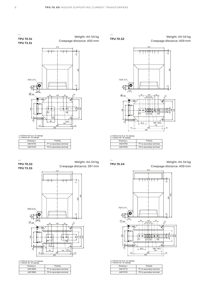—

**TPU 70.52**





L=107mm for 6 or 12 clamps L=134mm for 16 clamps

| Drawing n. | Polarity                 |
|------------|--------------------------|
| 44615750   | P1 to secondary terminal |
| 44615760   | P2 to secondary terminal |

**TPU 70.54**

—

TPU 70.54 WEIGHT: 44-54kg CREEPAGE Weight: 44-54 kg Creepage distance: 409 mm



L=107mm for 6 or 12 clamps L=134mm for 16 clamps

Drawing n. Polarity<br>44615710 P1 to secondary 44615710 P1 to secondary terminal<br>44615720 P2 to secondary terminal P2 to secondary terminal



#### L=107mm for 6 or 12 clamps L=134mm for 16 clamps

| Drawing n. | Polarity                 |
|------------|--------------------------|
| 44615730   | P1 to secondary terminal |
| 44615740   | P2 to secondary terminal |

TPU 70.53 **TPU 70.53** TPU 73.53 **TPU 73.53**

—

4 310 450 28 ఞ్యే 390  $\sim$ Pg16 Ø14 190 220 140 285 365 15 12 10  $\mathcal{L}$ 68 60 32 120 32  $\overline{18}$  $\overline{a}$  110  $\bigoplus_{\Lambda}$  M12 Weight: 44-54 kg Creepage distance: 397 mm

#### L=107mm for 6 or 12 clamps L=134mm for 16 clamps

 $\delta$ 

| Drawing n. | Polarity                 |
|------------|--------------------------|
| 44615650   | P1 to secondary terminal |
| 44615660   | P2 to secondary terminal |

—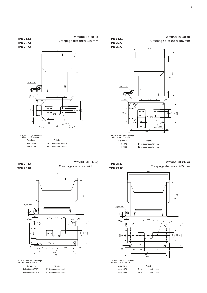Weight: 46-58 kg Creepage distance: 386 mm

TPU 74.53 **TPU 74.53** TPU 75.53 **TPU 75.53** TPU 76.53 **TPU 76.53**



 $P2$  to secondary terminal

—

WEIGHT: 46-58kg CREEPAGE DISTANCE: 386mm Creepage distance: 386 mm Weight: 46-58 kg





L=107mm for 6 or 12 clamps L=134mm for 16 clamps

| L-TJ411111 IUI TU Gidilips |                          |
|----------------------------|--------------------------|
| Drawing n.                 | Polarity                 |
| 44615690                   | P1 to secondary terminal |
| 44615700                   | P2 to secondary terminal |
|                            |                          |

TPU 70.61 **TPU 70.61** TPU 73.61 **TPU 73.61**

—

Weight: 70-86 kg Creepage distance: 475 mm



#### L=107mm for 6 or 12 clamps L=134mm for 16 clamps

| Drawing n.      | Polarity                 |
|-----------------|--------------------------|
| 1VL4600846R0101 | P1 to secondary terminal |
| 1VL4600846R0102 | P2 to secondary terminal |

TPU 70.63 **TPU 70.63** TPU 73.63 **TPU 73.63**

—

L=107mm for 6 or 12 clamps L=134mm for 16 clamps

Drawing n. Polarity 44615670 P1 to secondary terminal<br>44615680 P2 to secondary terminal

> Weight: 70-86 kg Creepage distance: 475 mm



L=107mm for 6 or 12 clamps L=134mm for 16 clamps

| Drawing n. | Polarity                 |
|------------|--------------------------|
| 44615570   | P1 to secondary terminal |
| 44615580   | P2 to secondary terminal |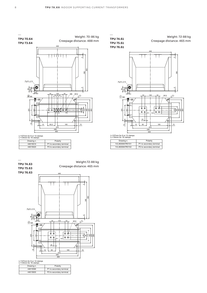

L=107mm for 6 or 12 clamps L=134mm for 16 clamps

| Drawing n. | Polarity                 |
|------------|--------------------------|
| 44615610   | P1 to secondary terminal |
| 44615620   | P2 to secondary terminal |

— TPU 74.63 **TPU 74.63** Weight:72-88 kg TPU 75.63 **TPU 75.63** Creepage distance: 465 mm IPU 75.63<br>----*--*----TPU 77.63 **TPU 76.63** 446 ŢŢ П  $\sim$ 450 390 Pg16  $\phi$ 14 4 $\frac{18}{28}$  $12$  M12 26  $\bigoplus$  32 120 32 đ は ₹ ↧ 취임등 225 160 225 260  $\overline{a}$  $_{\mathsf{P2}}\sqrt{\overset{\bullet}{\Phi}}$  $\overline{\bullet}$  $-\frac{1}{\Phi}$  $\frac{20}{20}$ 185 80 12 10 80 | 185 | 15 375 446 469

#### L=107mm for 6 or 12 clamps L=134mm for 16 clamps

| Drawing n. | Polarity                 |
|------------|--------------------------|
| 44615590   | P1 to secondary terminal |
| 44615600   | P2 to secondary terminal |

TPU 74.61 **TPU 74.61** TPU 75.61 **TPU 75.61** TPU 76.61 **TPU 76.61** —

Weight: 72-88 kg Creepage distance: 465 mm



L=107mm for 6 or 12 clamps L=134mm for 16 clamps

| Drawing n.      | Polarity                 |
|-----------------|--------------------------|
| 1VL4600847R0101 | P1 to secondary terminal |
| 1VL4600847R0102 | P2 to secondary terminal |

—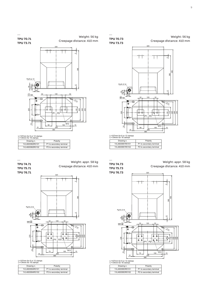#### Weight: 56 kg Creepage distance: 410 mm



L=107mm for 6 or 12 clamps L=134mm for 16 clamps

| Drawing n.      | Polarity                 |
|-----------------|--------------------------|
| 1VL4600991R0101 | P1 to secondary terminal |
| 1VL4600991R0102 | P2 to secondary terminal |

| Drawing n.      | Polarity                 |
|-----------------|--------------------------|
| 1VL4600991R0101 | P1 to secondary terminal |
| 1VL4600991R0102 | P2 to secondary terminal |

| . . <del>.</del> . <del>.</del> | _ |
|---------------------------------|---|
|                                 |   |
|                                 |   |
|                                 |   |
|                                 |   |
|                                 |   |
|                                 |   |
|                                 |   |

# Weight: appr. 58 kg

TPU 75.73 **TPU 75.73** TPU 76.73 **TPU 76.73**

TPU 74.73 **TPU 74.73**

—

Creepage distance: 410 mm



L=107mm for 6 or 12 clamps L=134mm for 16 clamps

| Drawing n.      | Polarity                 |
|-----------------|--------------------------|
| 1VL4600993R0101 | P1 to secondary terminal |
| 1VL4600993R0102 | P2 to secondary terminal |

TPU 70.73 **TPU 70.73** TPU 73.73 **TPU 73.73** —

Weight: 56 kg Creepage distance: 410 mm

Weight: appr. 58 kg

Creepage distance: 410 mm



L=107mm for 6 or 12 clamps L=134mm for 16 clamps

| - 191111111191 1901 1911 |                          |
|--------------------------|--------------------------|
| Drawing n.               | Polarity                 |
| 1VL4600992R0101          | P1 to secondary terminal |
| 1VL4600992R0102          | P2 to secondary terminal |

TPU 74.71 **TPU 74.71** TPU 75.71 **TPU 75.71** TPU 76.71 **TPU 76.71**

—



L=107mm for 6 or 12 clamps L=134mm for 16 clamps

| Drawing n.      | Polarity                 |
|-----------------|--------------------------|
| 1VL4600994R0101 | P1 to secondary terminal |
| 1VL4600994R0102 | P2 to secondary terminal |

TPU 70.71 **TPU 70.71** TPU 73.71 **TPU 73.71** —